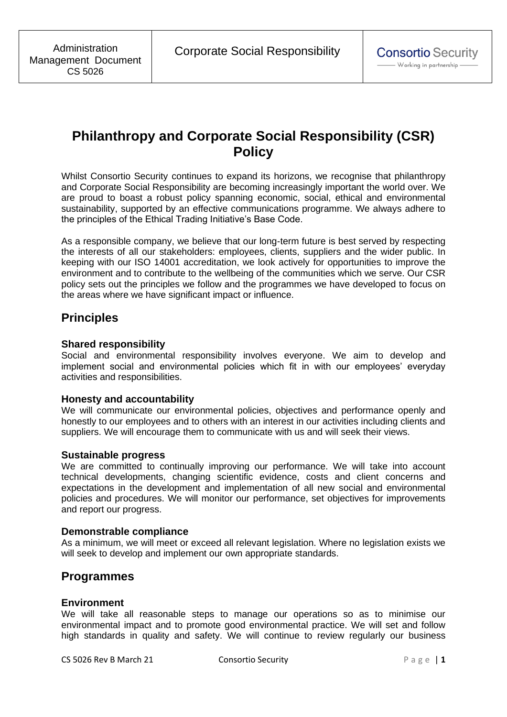# **Philanthropy and Corporate Social Responsibility (CSR) Policy**

Whilst Consortio Security continues to expand its horizons, we recognise that philanthropy and Corporate Social Responsibility are becoming increasingly important the world over. We are proud to boast a robust policy spanning economic, social, ethical and environmental sustainability, supported by an effective communications programme. We always adhere to the principles of the Ethical Trading Initiative's Base Code.

As a responsible company, we believe that our long-term future is best served by respecting the interests of all our stakeholders: employees, clients, suppliers and the wider public. In keeping with our ISO 14001 accreditation, we look actively for opportunities to improve the environment and to contribute to the wellbeing of the communities which we serve. Our CSR policy sets out the principles we follow and the programmes we have developed to focus on the areas where we have significant impact or influence.

# **Principles**

## **Shared responsibility**

Social and environmental responsibility involves everyone. We aim to develop and implement social and environmental policies which fit in with our employees' everyday activities and responsibilities.

### **Honesty and accountability**

We will communicate our environmental policies, objectives and performance openly and honestly to our employees and to others with an interest in our activities including clients and suppliers. We will encourage them to communicate with us and will seek their views.

### **Sustainable progress**

We are committed to continually improving our performance. We will take into account technical developments, changing scientific evidence, costs and client concerns and expectations in the development and implementation of all new social and environmental policies and procedures. We will monitor our performance, set objectives for improvements and report our progress.

### **Demonstrable compliance**

As a minimum, we will meet or exceed all relevant legislation. Where no legislation exists we will seek to develop and implement our own appropriate standards.

# **Programmes**

### **Environment**

We will take all reasonable steps to manage our operations so as to minimise our environmental impact and to promote good environmental practice. We will set and follow high standards in quality and safety. We will continue to review regularly our business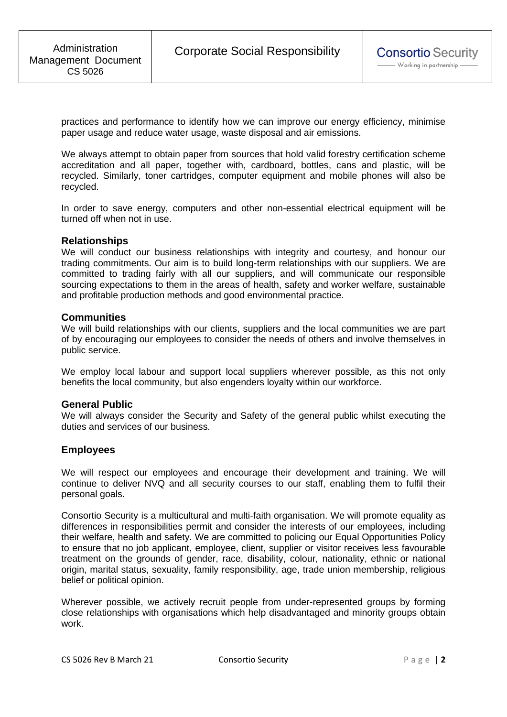practices and performance to identify how we can improve our energy efficiency, minimise paper usage and reduce water usage, waste disposal and air emissions.

We always attempt to obtain paper from sources that hold valid forestry certification scheme accreditation and all paper, together with, cardboard, bottles, cans and plastic, will be recycled. Similarly, toner cartridges, computer equipment and mobile phones will also be recycled.

In order to save energy, computers and other non-essential electrical equipment will be turned off when not in use.

#### **Relationships**

We will conduct our business relationships with integrity and courtesy, and honour our trading commitments. Our aim is to build long-term relationships with our suppliers. We are committed to trading fairly with all our suppliers, and will communicate our responsible sourcing expectations to them in the areas of health, safety and worker welfare, sustainable and profitable production methods and good environmental practice.

#### **Communities**

We will build relationships with our clients, suppliers and the local communities we are part of by encouraging our employees to consider the needs of others and involve themselves in public service.

We employ local labour and support local suppliers wherever possible, as this not only benefits the local community, but also engenders loyalty within our workforce.

#### **General Public**

We will always consider the Security and Safety of the general public whilst executing the duties and services of our business.

### **Employees**

We will respect our employees and encourage their development and training. We will continue to deliver NVQ and all security courses to our staff, enabling them to fulfil their personal goals.

Consortio Security is a multicultural and multi-faith organisation. We will promote equality as differences in responsibilities permit and consider the interests of our employees, including their welfare, health and safety. We are committed to policing our Equal Opportunities Policy to ensure that no job applicant, employee, client, supplier or visitor receives less favourable treatment on the grounds of gender, race, disability, colour, nationality, ethnic or national origin, marital status, sexuality, family responsibility, age, trade union membership, religious belief or political opinion.

Wherever possible, we actively recruit people from under-represented groups by forming close relationships with organisations which help disadvantaged and minority groups obtain work.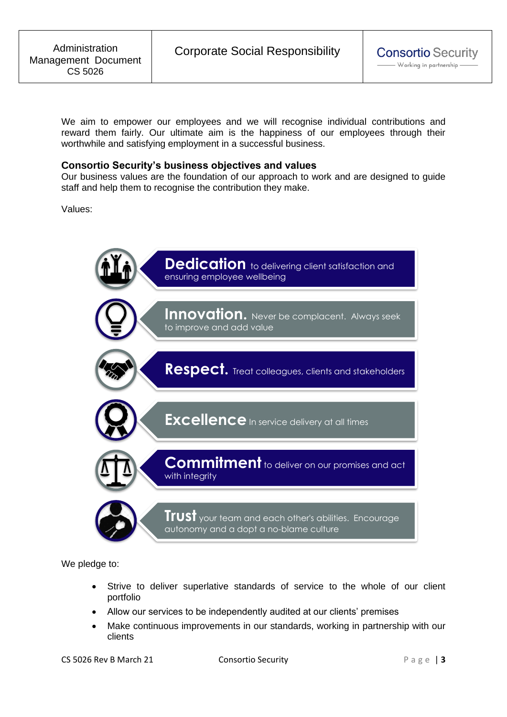We aim to empower our employees and we will recognise individual contributions and reward them fairly. Our ultimate aim is the happiness of our employees through their worthwhile and satisfying employment in a successful business.

#### **Consortio Security's business objectives and values**

Our business values are the foundation of our approach to work and are designed to guide staff and help them to recognise the contribution they make.

Values:



We pledge to:

- Strive to deliver superlative standards of service to the whole of our client portfolio
- Allow our services to be independently audited at our clients' premises
- Make continuous improvements in our standards, working in partnership with our clients